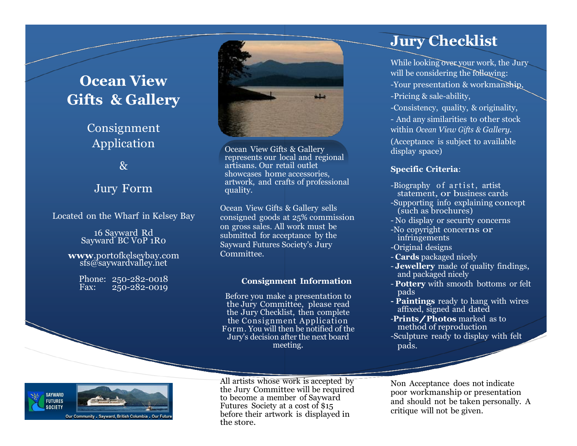## **Ocean View Gifts & Gallery**

## Consignment Application

&

### Jury Form

Located on the Wharf in Kelsey Bay

16 Sayward Rd Sayward BC VoP 1Ro

**www**[.portofkelseybay.com](http://www.portofkelseybay.com/) sfs@saywardvalley.net

Phone: 250-282-0018<br>Fax: 250-282-0019 Fax: 250-282-0019



Ocean View Gifts & Gallery represents our local and regional artisans. Our retail outlet showcases home accessories, artwork, and crafts of professional quality.

Ocean View Gifts & Gallery sells consigned goods at 25% commission on gross sales. All work must be submitted for acceptance by the Sayward Futures Society's Jury Committee.

#### **Consignment Information**

Before you make a presentation to the Jury Committee, please read the Jury Checklist, then complete the Consignment Application Form. You will then be notified of the Jury's decision after the next board meeting.

## **Jury Checklist**

While looking over your work, the Jury will be considering the following: -Your presentation & workmanship, -Pricing & sale-ability,

-Consistency, quality, & originality,

- And any similarities to other stock within *Ocean View Gifts & Gallery*. (Acceptance is subject to available display space)

#### **Specific Criteria**:

- -Biography of artist, artist statement, or business cards
- -Supporting info explaining concept (such as brochures)
- No display or security concerns
- -No copyright concerns or infringements
- -Original designs
- **Cards** packaged nicely
- **Jewellery** made of quality findings, and packaged nicely
- **Pottery** with smooth bottoms or felt pads
- **- Paintings** ready to hang with wires affixed, signed and dated
- -**Prints/Photos** marked as to method of reproduction

-Sculpture ready to display with felt pads.



All artists whose work is accepted by the Jury Committee will be required to become a member of Sayward Futures Society at a cost of \$15 before their artwork is displayed in the store.

Non Acceptance does not indicate poor workmanship or presentation and should not be taken personally. A critique will not be given.